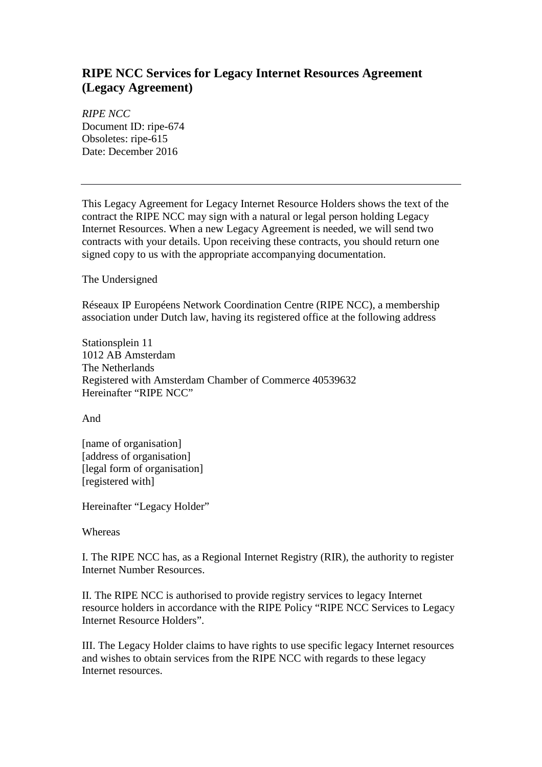## **RIPE NCC Services for Legacy Internet Resources Agreement (Legacy Agreement)**

*RIPE NCC* Document ID: ripe-674 Obsoletes: ripe-615 Date: December 2016

This Legacy Agreement for Legacy Internet Resource Holders shows the text of the contract the RIPE NCC may sign with a natural or legal person holding Legacy Internet Resources. When a new Legacy Agreement is needed, we will send two contracts with your details. Upon receiving these contracts, you should return one signed copy to us with the appropriate accompanying documentation.

The Undersigned

Réseaux IP Européens Network Coordination Centre (RIPE NCC), a membership association under Dutch law, having its registered office at the following address

Stationsplein 11 1012 AB Amsterdam The Netherlands Registered with Amsterdam Chamber of Commerce 40539632 Hereinafter "RIPE NCC"

And

[name of organisation] [address of organisation] [legal form of organisation] [registered with]

Hereinafter "Legacy Holder"

Whereas

I. The RIPE NCC has, as a Regional Internet Registry (RIR), the authority to register Internet Number Resources.

II. The RIPE NCC is authorised to provide registry services to legacy Internet resource holders in accordance with the RIPE Policy "RIPE NCC Services to Legacy Internet Resource Holders".

III. The Legacy Holder claims to have rights to use specific legacy Internet resources and wishes to obtain services from the RIPE NCC with regards to these legacy Internet resources.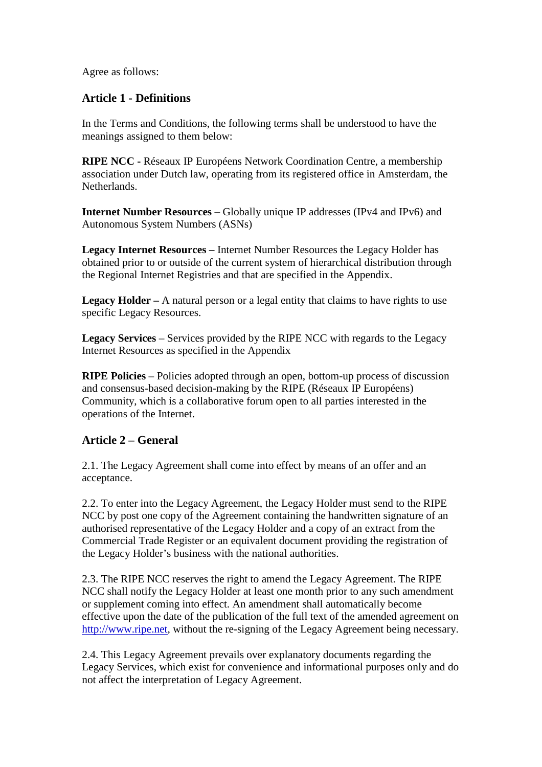Agree as follows:

#### **Article 1 - Definitions**

In the Terms and Conditions, the following terms shall be understood to have the meanings assigned to them below:

**RIPE NCC -** Réseaux IP Européens Network Coordination Centre, a membership association under Dutch law, operating from its registered office in Amsterdam, the Netherlands.

**Internet Number Resources –** Globally unique IP addresses (IPv4 and IPv6) and Autonomous System Numbers (ASNs)

**Legacy Internet Resources –** Internet Number Resources the Legacy Holder has obtained prior to or outside of the current system of hierarchical distribution through the Regional Internet Registries and that are specified in the Appendix.

**Legacy Holder** – A natural person or a legal entity that claims to have rights to use specific Legacy Resources.

**Legacy Services** – Services provided by the RIPE NCC with regards to the Legacy Internet Resources as specified in the Appendix

**RIPE Policies** – Policies adopted through an open, bottom-up process of discussion and consensus-based decision-making by the RIPE (Réseaux IP Européens) Community, which is a collaborative forum open to all parties interested in the operations of the Internet.

#### **Article 2 – General**

2.1. The Legacy Agreement shall come into effect by means of an offer and an acceptance.

2.2. To enter into the Legacy Agreement, the Legacy Holder must send to the RIPE NCC by post one copy of the Agreement containing the handwritten signature of an authorised representative of the Legacy Holder and a copy of an extract from the Commercial Trade Register or an equivalent document providing the registration of the Legacy Holder's business with the national authorities.

2.3. The RIPE NCC reserves the right to amend the Legacy Agreement. The RIPE NCC shall notify the Legacy Holder at least one month prior to any such amendment or supplement coming into effect. An amendment shall automatically become effective upon the date of the publication of the full text of the amended agreement on [http://www.ripe.net,](http://www.ripe.net/) without the re-signing of the Legacy Agreement being necessary.

2.4. This Legacy Agreement prevails over explanatory documents regarding the Legacy Services, which exist for convenience and informational purposes only and do not affect the interpretation of Legacy Agreement.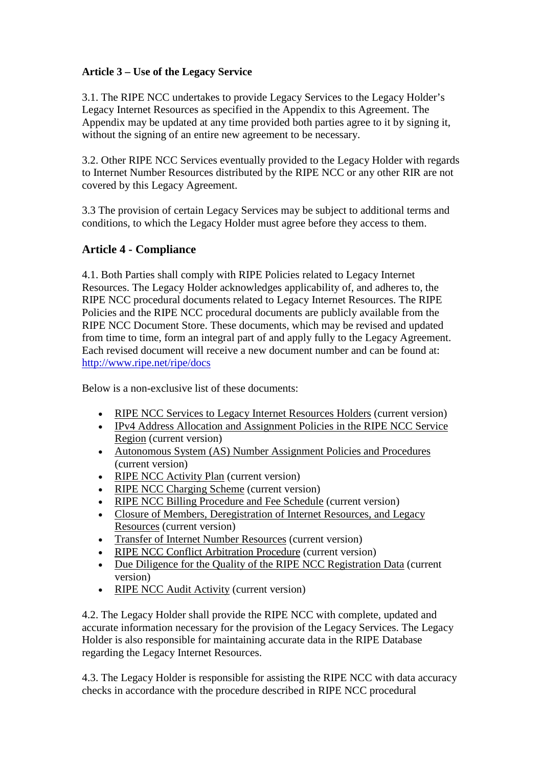#### **Article 3 – Use of the Legacy Service**

3.1. The RIPE NCC undertakes to provide Legacy Services to the Legacy Holder's Legacy Internet Resources as specified in the Appendix to this Agreement. The Appendix may be updated at any time provided both parties agree to it by signing it, without the signing of an entire new agreement to be necessary.

3.2. Other RIPE NCC Services eventually provided to the Legacy Holder with regards to Internet Number Resources distributed by the RIPE NCC or any other RIR are not covered by this Legacy Agreement.

3.3 The provision of certain Legacy Services may be subject to additional terms and conditions, to which the Legacy Holder must agree before they access to them.

### **Article 4 - Compliance**

4.1. Both Parties shall comply with RIPE Policies related to Legacy Internet Resources. The Legacy Holder acknowledges applicability of, and adheres to, the RIPE NCC procedural documents related to Legacy Internet Resources. The RIPE Policies and the RIPE NCC procedural documents are publicly available from the RIPE NCC Document Store. These documents, which may be revised and updated from time to time, form an integral part of and apply fully to the Legacy Agreement. Each revised document will receive a new document number and can be found at: <http://www.ripe.net/ripe/docs>

Below is a non-exclusive list of these documents:

- [RIPE NCC Services to Legacy Internet Resources Holders](https://www.ripe.net/ripe/docs/ncc-services-to-legacy-holders) (current version)
- IPv4 Address Allocation and Assignment Policies in the RIPE NCC Service [Region](http://www.ripe.net/ripe/docs/ipv4-policies) (current version)
- [Autonomous System \(AS\) Number Assignment Policies and Procedures](http://www.ripe.net/ripe/docs/asn-assignment) (current version)
- [RIPE NCC Activity Plan](http://www.ripe.net/ripe/docs/ap) (current version)
- [RIPE NCC Charging Scheme](http://www.ripe.net/ripe/docs/charging) (current version)
- [RIPE NCC Billing Procedure and Fee Schedule](http://www.ripe.net/participate/billing/procedure) (current version)
- [Closure of Members, Deregistration of Internet Resources, and Legacy](https://www.ripe.net/ripe/docs/closure)  [Resources](https://www.ripe.net/ripe/docs/closure) (current version)
- [Transfer of Internet Number Resources](http://www.ripe.net/ripe/docs/transfer) (current version)
- [RIPE NCC Conflict Arbitration Procedure](http://www.ripe.net/ripe/docs/arbitration) (current version)
- [Due Diligence for the Quality of the RIPE NCC Registration Data](https://www.ripe.net/ripe/docs/due-diligence) (current version)
- [RIPE NCC Audit Activity](https://www.ripe.net/ripe/docs/audit) (current version)

4.2. The Legacy Holder shall provide the RIPE NCC with complete, updated and accurate information necessary for the provision of the Legacy Services. The Legacy Holder is also responsible for maintaining accurate data in the RIPE Database regarding the Legacy Internet Resources.

4.3. The Legacy Holder is responsible for assisting the RIPE NCC with data accuracy checks in accordance with the procedure described in RIPE NCC procedural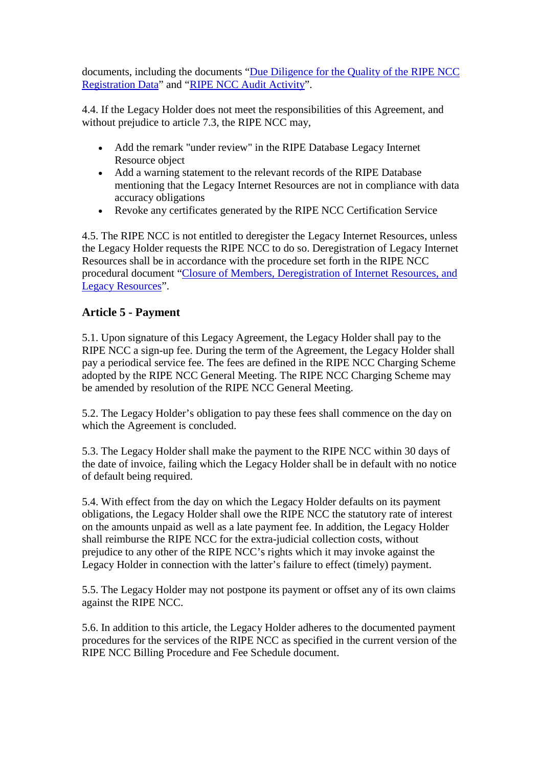documents, including the documents "Due Diligence for the Quality of the RIPE NCC [Registration Data"](https://www.ripe.net/ripe/docs/due-diligence) and ["RIPE NCC Audit Activity"](https://www.ripe.net/ripe/docs/audit).

4.4. If the Legacy Holder does not meet the responsibilities of this Agreement, and without prejudice to article 7.3, the RIPE NCC may,

- Add the remark "under review" in the RIPE Database Legacy Internet Resource object
- Add a warning statement to the relevant records of the RIPE Database mentioning that the Legacy Internet Resources are not in compliance with data accuracy obligations
- Revoke any certificates generated by the RIPE NCC Certification Service

4.5. The RIPE NCC is not entitled to deregister the Legacy Internet Resources, unless the Legacy Holder requests the RIPE NCC to do so. Deregistration of Legacy Internet Resources shall be in accordance with the procedure set forth in the RIPE NCC procedural document ["Closure of Members, Deregistration of Internet Resources, and](https://www.ripe.net/docs/ripe/closure)  [Legacy Resources"](https://www.ripe.net/docs/ripe/closure).

### **Article 5 - Payment**

5.1. Upon signature of this Legacy Agreement, the Legacy Holder shall pay to the RIPE NCC a sign-up fee. During the term of the Agreement, the Legacy Holder shall pay a periodical service fee. The fees are defined in the RIPE NCC Charging Scheme adopted by the RIPE NCC General Meeting. The RIPE NCC Charging Scheme may be amended by resolution of the RIPE NCC General Meeting.

5.2. The Legacy Holder's obligation to pay these fees shall commence on the day on which the Agreement is concluded.

5.3. The Legacy Holder shall make the payment to the RIPE NCC within 30 days of the date of invoice, failing which the Legacy Holder shall be in default with no notice of default being required.

5.4. With effect from the day on which the Legacy Holder defaults on its payment obligations, the Legacy Holder shall owe the RIPE NCC the statutory rate of interest on the amounts unpaid as well as a late payment fee. In addition, the Legacy Holder shall reimburse the RIPE NCC for the extra-judicial collection costs, without prejudice to any other of the RIPE NCC's rights which it may invoke against the Legacy Holder in connection with the latter's failure to effect (timely) payment.

5.5. The Legacy Holder may not postpone its payment or offset any of its own claims against the RIPE NCC.

5.6. In addition to this article, the Legacy Holder adheres to the documented payment procedures for the services of the RIPE NCC as specified in the current version of the RIPE NCC Billing Procedure and Fee Schedule document.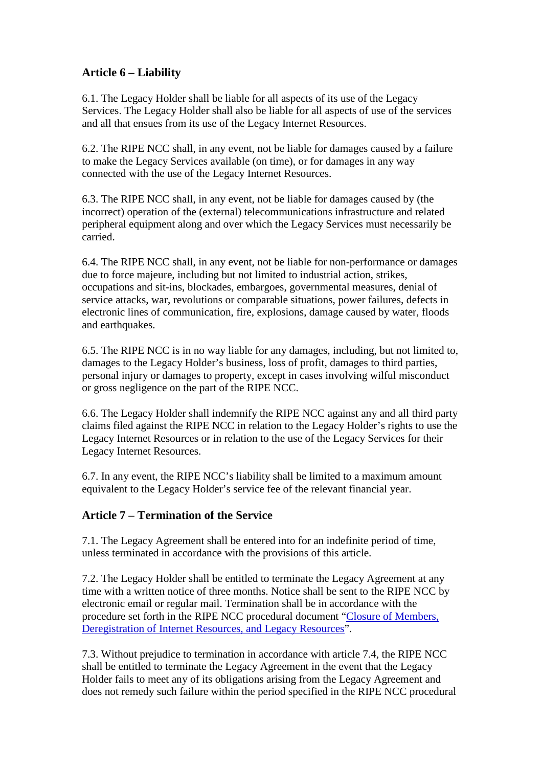### **Article 6 – Liability**

6.1. The Legacy Holder shall be liable for all aspects of its use of the Legacy Services. The Legacy Holder shall also be liable for all aspects of use of the services and all that ensues from its use of the Legacy Internet Resources.

6.2. The RIPE NCC shall, in any event, not be liable for damages caused by a failure to make the Legacy Services available (on time), or for damages in any way connected with the use of the Legacy Internet Resources.

6.3. The RIPE NCC shall, in any event, not be liable for damages caused by (the incorrect) operation of the (external) telecommunications infrastructure and related peripheral equipment along and over which the Legacy Services must necessarily be carried.

6.4. The RIPE NCC shall, in any event, not be liable for non-performance or damages due to force majeure, including but not limited to industrial action, strikes, occupations and sit-ins, blockades, embargoes, governmental measures, denial of service attacks, war, revolutions or comparable situations, power failures, defects in electronic lines of communication, fire, explosions, damage caused by water, floods and earthquakes.

6.5. The RIPE NCC is in no way liable for any damages, including, but not limited to, damages to the Legacy Holder's business, loss of profit, damages to third parties, personal injury or damages to property, except in cases involving wilful misconduct or gross negligence on the part of the RIPE NCC.

6.6. The Legacy Holder shall indemnify the RIPE NCC against any and all third party claims filed against the RIPE NCC in relation to the Legacy Holder's rights to use the Legacy Internet Resources or in relation to the use of the Legacy Services for their Legacy Internet Resources.

6.7. In any event, the RIPE NCC's liability shall be limited to a maximum amount equivalent to the Legacy Holder's service fee of the relevant financial year.

### **Article 7 – Termination of the Service**

7.1. The Legacy Agreement shall be entered into for an indefinite period of time, unless terminated in accordance with the provisions of this article.

7.2. The Legacy Holder shall be entitled to terminate the Legacy Agreement at any time with a written notice of three months. Notice shall be sent to the RIPE NCC by electronic email or regular mail. Termination shall be in accordance with the procedure set forth in the RIPE NCC procedural document ["Closure of Members,](https://www.ripe.net/ripe/docs/closure)  [Deregistration of Internet Resources, and Legacy Resources"](https://www.ripe.net/ripe/docs/closure).

7.3. Without prejudice to termination in accordance with article 7.4, the RIPE NCC shall be entitled to terminate the Legacy Agreement in the event that the Legacy Holder fails to meet any of its obligations arising from the Legacy Agreement and does not remedy such failure within the period specified in the RIPE NCC procedural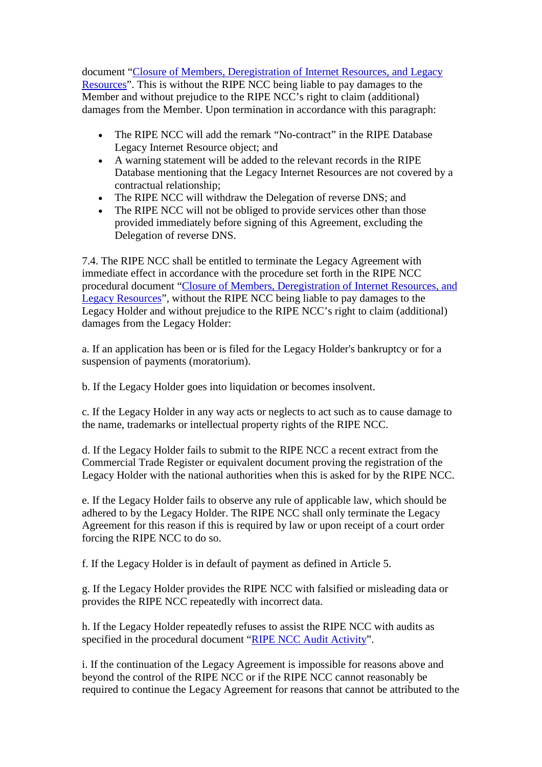document ["Closure of Members, Deregistration of Internet Resources, and Legacy](https://www.ripe.net/ripe/docs/closure)  [Resources"](https://www.ripe.net/ripe/docs/closure). This is without the RIPE NCC being liable to pay damages to the Member and without prejudice to the RIPE NCC's right to claim (additional) damages from the Member. Upon termination in accordance with this paragraph:

- The RIPE NCC will add the remark "No-contract" in the RIPE Database Legacy Internet Resource object; and
- A warning statement will be added to the relevant records in the RIPE Database mentioning that the Legacy Internet Resources are not covered by a contractual relationship;
- The RIPE NCC will withdraw the Delegation of reverse DNS; and
- The RIPE NCC will not be obliged to provide services other than those provided immediately before signing of this Agreement, excluding the Delegation of reverse DNS.

7.4. The RIPE NCC shall be entitled to terminate the Legacy Agreement with immediate effect in accordance with the procedure set forth in the RIPE NCC procedural document ["Closure of Members, Deregistration of Internet Resources, and](https://www.ripe.net/ripe/docs/closure)  [Legacy Resources"](https://www.ripe.net/ripe/docs/closure), without the RIPE NCC being liable to pay damages to the Legacy Holder and without prejudice to the RIPE NCC's right to claim (additional) damages from the Legacy Holder:

a. If an application has been or is filed for the Legacy Holder's bankruptcy or for a suspension of payments (moratorium).

b. If the Legacy Holder goes into liquidation or becomes insolvent.

c. If the Legacy Holder in any way acts or neglects to act such as to cause damage to the name, trademarks or intellectual property rights of the RIPE NCC.

d. If the Legacy Holder fails to submit to the RIPE NCC a recent extract from the Commercial Trade Register or equivalent document proving the registration of the Legacy Holder with the national authorities when this is asked for by the RIPE NCC.

e. If the Legacy Holder fails to observe any rule of applicable law, which should be adhered to by the Legacy Holder. The RIPE NCC shall only terminate the Legacy Agreement for this reason if this is required by law or upon receipt of a court order forcing the RIPE NCC to do so.

f. If the Legacy Holder is in default of payment as defined in Article 5.

g. If the Legacy Holder provides the RIPE NCC with falsified or misleading data or provides the RIPE NCC repeatedly with incorrect data.

h. If the Legacy Holder repeatedly refuses to assist the RIPE NCC with audits as specified in the procedural document ["RIPE NCC Audit Activity"](https://www.ripe.net/ripe/docs/audit).

i. If the continuation of the Legacy Agreement is impossible for reasons above and beyond the control of the RIPE NCC or if the RIPE NCC cannot reasonably be required to continue the Legacy Agreement for reasons that cannot be attributed to the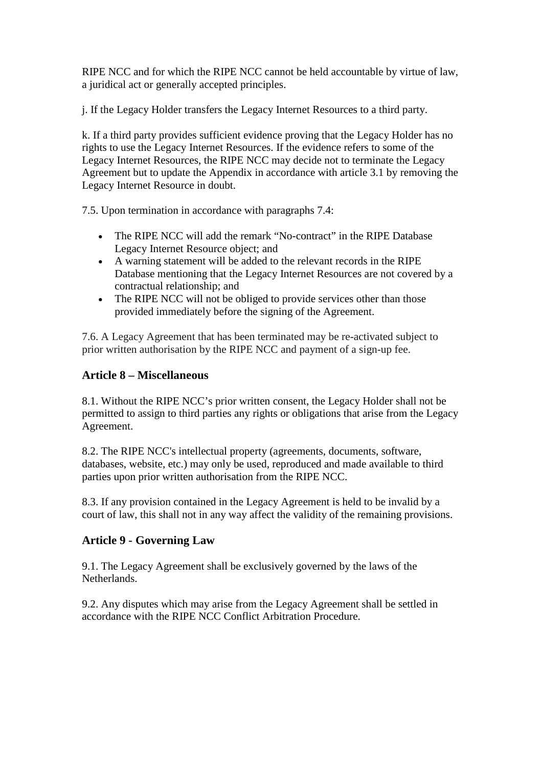RIPE NCC and for which the RIPE NCC cannot be held accountable by virtue of law, a juridical act or generally accepted principles.

j. If the Legacy Holder transfers the Legacy Internet Resources to a third party.

k. If a third party provides sufficient evidence proving that the Legacy Holder has no rights to use the Legacy Internet Resources. If the evidence refers to some of the Legacy Internet Resources, the RIPE NCC may decide not to terminate the Legacy Agreement but to update the Appendix in accordance with article 3.1 by removing the Legacy Internet Resource in doubt.

7.5. Upon termination in accordance with paragraphs 7.4:

- The RIPE NCC will add the remark "No-contract" in the RIPE Database Legacy Internet Resource object; and
- A warning statement will be added to the relevant records in the RIPE Database mentioning that the Legacy Internet Resources are not covered by a contractual relationship; and
- The RIPE NCC will not be obliged to provide services other than those provided immediately before the signing of the Agreement.

7.6. A Legacy Agreement that has been terminated may be re-activated subject to prior written authorisation by the RIPE NCC and payment of a sign-up fee.

### **Article 8 – Miscellaneous**

8.1. Without the RIPE NCC's prior written consent, the Legacy Holder shall not be permitted to assign to third parties any rights or obligations that arise from the Legacy Agreement.

8.2. The RIPE NCC's intellectual property (agreements, documents, software, databases, website, etc.) may only be used, reproduced and made available to third parties upon prior written authorisation from the RIPE NCC.

8.3. If any provision contained in the Legacy Agreement is held to be invalid by a court of law, this shall not in any way affect the validity of the remaining provisions.

### **Article 9 - Governing Law**

9.1. The Legacy Agreement shall be exclusively governed by the laws of the Netherlands.

9.2. Any disputes which may arise from the Legacy Agreement shall be settled in accordance with the RIPE NCC Conflict Arbitration Procedure.